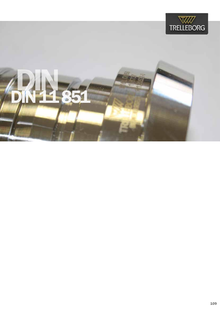

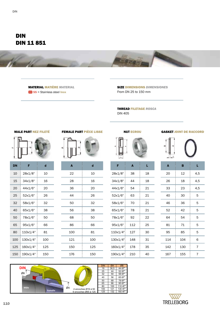## DIN DIN 11 851



MATERIAL MATIÈRE *MATERIAL* SS = Stainless steel Inox

## SIZE DIMENSIONS *DIMENSIONES* From DN 25 to 150 mm

THREAD FILETAGE *ROSCA* DIN 405





**Mâle**





| A   | d   |
|-----|-----|
| 22  | 10  |
| 28  | 16  |
| 36  | 20  |
| 44  | 26  |
| 50  | 32  |
| 56  | 38  |
| 68  | 50  |
| 86  | 66  |
| 100 | 81  |
| 121 | 100 |
| 150 | 125 |
| 176 | 150 |
|     |     |

| 18<br>28x1/8"<br>38   |  |
|-----------------------|--|
| 18<br>34x1/8"<br>44   |  |
| 44x1/6"<br>54<br>21   |  |
| 52x1/6"<br>63<br>21   |  |
| 70<br>21<br>58x1/6"   |  |
| 21<br>65x1/6"<br>78   |  |
| 78x1/6"<br>92<br>22   |  |
| 112<br>95x1/6"<br>25  |  |
| 110x1/4"<br>127<br>30 |  |
| 130x1/4"<br>148<br>31 |  |
| 160x1/4"<br>178<br>35 |  |
| 190x1/4"<br>210<br>40 |  |

## MALE PART NEZ FILETÉ FEMALE PART PIÈCE LISSE NUT ECROU GASKET JOINT DE RACCORD



| A   | B   | L   |
|-----|-----|-----|
| 20  | 12  | 4,5 |
| 26  | 18  | 4,5 |
| 33  | 23  | 4,5 |
| 40  | 30  | 5   |
| 46  | 36  | 5   |
| 52  | 42  | 5   |
| 64  | 54  | 5   |
| 81  | 71  | 5   |
| 95  | 85  | 5   |
| 114 | 104 | 6   |
| 142 | 130 | 7   |
| 167 | 155 | 7   |



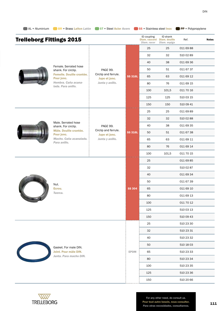| <b>Trelleborg Fittings 2015</b> |                                                |                                                   |                | ID coupling<br>Diam. raccord<br>Diam. racor | ID shank<br>Diam. douille<br>Diam. espiga | Ref.      | <b>Notes</b> |
|---------------------------------|------------------------------------------------|---------------------------------------------------|----------------|---------------------------------------------|-------------------------------------------|-----------|--------------|
|                                 |                                                |                                                   |                | 25                                          | 25                                        | 011 69 88 |              |
|                                 | Female. Serrated hose<br>shank. For circlip.   | PAGE 99.<br>Circlip and ferrule.<br>Jupe et jonc. |                | 32                                          | 32                                        | 510 02 89 |              |
|                                 |                                                |                                                   |                | 40                                          | 38                                        | 011 69 36 |              |
|                                 |                                                |                                                   |                | 50                                          | 51                                        | 011 67 37 |              |
|                                 | Femelle. Douille crantée.<br>Pour jonc.        |                                                   | <b>SS 316L</b> | 65                                          | 63                                        | 011 69 12 |              |
|                                 | Hembra. Caña acana-<br>lada, Para anillo.      | Junta y anillo.                                   |                | 80                                          | 76                                        | 011 69 15 |              |
|                                 |                                                |                                                   |                | 100                                         | 101,5                                     | 011 70 16 |              |
|                                 |                                                |                                                   |                | 125                                         | 125                                       | 510 03 15 |              |
|                                 |                                                |                                                   |                | 150                                         | 150                                       | 510 09 41 |              |
|                                 |                                                | PAGE 99.<br>Circlip and ferrule.<br>Jupe et jonc. |                | 25                                          | 25                                        | 011 69 89 |              |
|                                 |                                                |                                                   |                | 32                                          | 32                                        | 510 02 88 |              |
|                                 | Male. Serrated hose<br>shank. For circlip.     |                                                   |                | 40                                          | 38                                        | 011 69 35 |              |
|                                 | Mâle. Douille crantée.<br>Pour jonc.           |                                                   | <b>SS 316L</b> | 50                                          | 51                                        | 011 67 38 |              |
|                                 | Macho. Caña acanalada.<br>Para anillo.         | Junta y anillo.                                   |                | 65                                          | 63                                        | 011 69 11 |              |
|                                 |                                                |                                                   |                | 80                                          | 76                                        | 011 69 14 |              |
|                                 |                                                |                                                   |                | 100                                         | 101,5                                     | 011 70 15 |              |
|                                 | Nut.<br>Ecrou.<br>Tuerca.                      |                                                   |                | 25                                          |                                           | 011 69 85 |              |
|                                 |                                                |                                                   |                | 32                                          |                                           | 510 02 87 |              |
|                                 |                                                |                                                   |                | 40                                          |                                           | 011 69 34 |              |
|                                 |                                                |                                                   |                | 50                                          |                                           | 011 67 39 |              |
|                                 |                                                |                                                   | <b>SS 304</b>  | 65                                          |                                           | 011 69 10 |              |
|                                 |                                                |                                                   |                | 80                                          |                                           | 011 69 13 |              |
|                                 |                                                |                                                   |                | 100                                         |                                           | 011 70 12 |              |
|                                 |                                                |                                                   |                | 125                                         |                                           | 510 03 13 |              |
|                                 |                                                |                                                   |                | 150                                         |                                           | 510 09 43 |              |
|                                 |                                                |                                                   |                | 25                                          |                                           | 510 23 30 |              |
|                                 |                                                |                                                   |                | 32                                          |                                           | 510 23 31 |              |
|                                 |                                                |                                                   |                | 40                                          |                                           | 510 23 32 |              |
|                                 | Gasket. For male DIN.<br>Joint. Pour mâle DIN. |                                                   | 50             |                                             | 510 18 03                                 |           |              |
|                                 |                                                | <b>EPDM</b>                                       | 65             |                                             | 510 23 33                                 |           |              |
|                                 | Junta. Para macho DIN.                         |                                                   |                | 80                                          |                                           | 510 23 34 |              |
|                                 |                                                |                                                   |                | 100                                         |                                           | 510 23 35 |              |
|                                 |                                                |                                                   |                | 125                                         |                                           | 510 23 36 |              |
|                                 |                                                |                                                   |                | 150                                         |                                           | 510 20 66 |              |

**AL = Aluminium** BR = Brass Laiton *Latón* ST = Steel Acier *Acero* SS = Stainless steel Inox PP = Polypropylene



For any other need, do consult us. Pour tout autre besoin, nous consulter. Pour tout autre besoin, nous consulter.<br>Para otras necesidades, consultarnos.